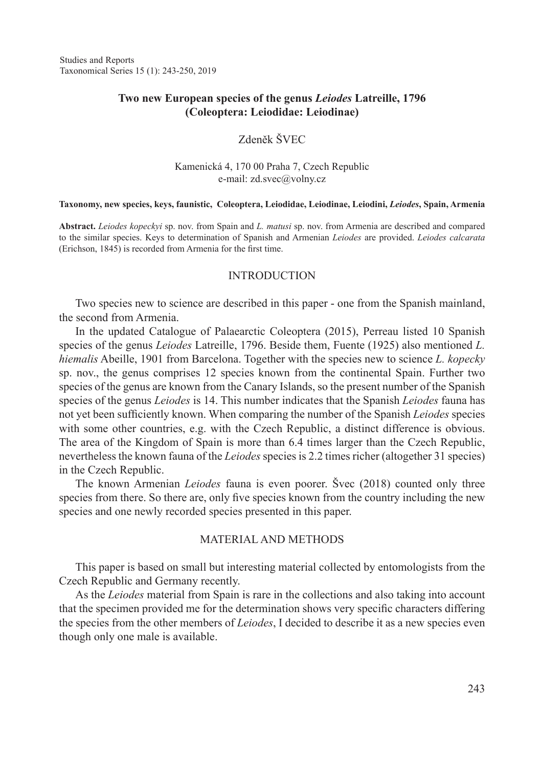### **Two new European species of the genus** *Leiodes* **Latreille, 1796 (Coleoptera: Leiodidae: Leiodinae)**

## Zdeněk ŠVEC

Kamenická 4, 170 00 Praha 7, Czech Republic e-mail: zd.svec@volny.cz

#### **Taxonomy, new species, keys, faunistic, Coleoptera, Leiodidae, Leiodinae, Leiodini,** *Leiodes***, Spain, Armenia**

**Abstract.** *Leiodes kopeckyi* sp. nov. from Spain and *L. matusi* sp. nov. from Armenia are described and compared to the similar species. Keys to determination of Spanish and Armenian *Leiodes* are provided. *Leiodes calcarata* (Erichson, 1845) is recorded from Armenia for the first time.

#### INTRODUCTION

Two species new to science are described in this paper - one from the Spanish mainland, the second from Armenia.

In the updated Catalogue of Palaearctic Coleoptera (2015), Perreau listed 10 Spanish species of the genus *Leiodes* Latreille, 1796. Beside them, Fuente (1925) also mentioned *L. hiemalis* Abeille, 1901 from Barcelona. Together with the species new to science *L. kopecky* sp. nov., the genus comprises 12 species known from the continental Spain. Further two species of the genus are known from the Canary Islands, so the present number of the Spanish species of the genus *Leiodes* is 14. This number indicates that the Spanish *Leiodes* fauna has not yet been sufficiently known. When comparing the number of the Spanish *Leiodes* species with some other countries, e.g. with the Czech Republic, a distinct difference is obvious. The area of the Kingdom of Spain is more than 6.4 times larger than the Czech Republic, nevertheless the known fauna of the *Leiodes* species is 2.2 times richer (altogether 31 species) in the Czech Republic.

The known Armenian *Leiodes* fauna is even poorer. Švec (2018) counted only three species from there. So there are, only five species known from the country including the new species and one newly recorded species presented in this paper.

#### Material and Methods

This paper is based on small but interesting material collected by entomologists from the Czech Republic and Germany recently.

As the *Leiodes* material from Spain is rare in the collections and also taking into account that the specimen provided me for the determination shows very specific characters differing the species from the other members of *Leiodes*, I decided to describe it as a new species even though only one male is available.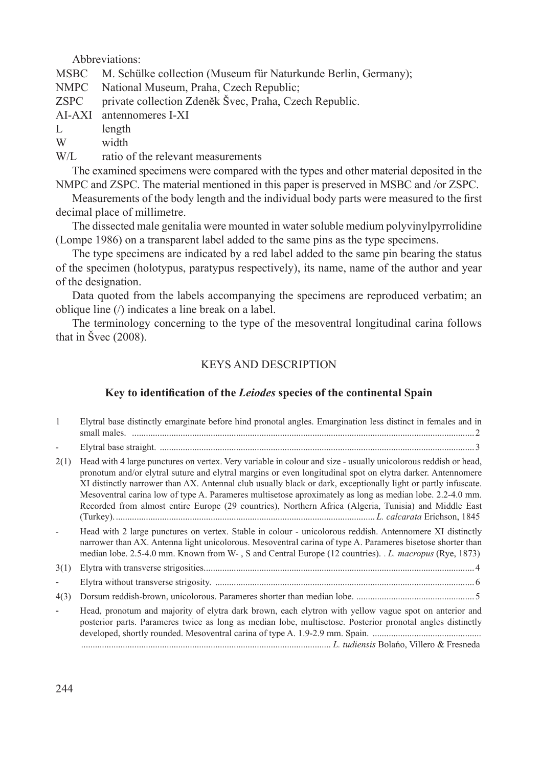Abbreviations:

MSBC M. Schülke collection (Museum für Naturkunde Berlin, Germany);

National Museum, Praha, Czech Republic;

ZSPC private collection Zdeněk Švec, Praha, Czech Republic.

AI-AXI antennomeres I-XI

L length<br>W width

width

W/L ratio of the relevant measurements

The examined specimens were compared with the types and other material deposited in the NMPC and ZSPC. The material mentioned in this paper is preserved in MSBC and /or ZSPC.

Measurements of the body length and the individual body parts were measured to the first decimal place of millimetre.

The dissected male genitalia were mounted in water soluble medium polyvinylpyrrolidine (Lompe 1986) on a transparent label added to the same pins as the type specimens.

The type specimens are indicated by a red label added to the same pin bearing the status of the specimen (holotypus, paratypus respectively), its name, name of the author and year of the designation.

Data quoted from the labels accompanying the specimens are reproduced verbatim; an oblique line (/) indicates a line break on a label.

The terminology concerning to the type of the mesoventral longitudinal carina follows that in Švec (2008).

# KEYS AND DESCRIPTION

# **Key to identification of the** *Leiodes* **species of the continental Spain**

|      | Elytral base distinctly emarginate before hind pronotal angles. Emargination less distinct in females and in                                                                                                                                                                                                                                                                                                                                                                                                                                                       |
|------|--------------------------------------------------------------------------------------------------------------------------------------------------------------------------------------------------------------------------------------------------------------------------------------------------------------------------------------------------------------------------------------------------------------------------------------------------------------------------------------------------------------------------------------------------------------------|
|      |                                                                                                                                                                                                                                                                                                                                                                                                                                                                                                                                                                    |
| 2(1) | Head with 4 large punctures on vertex. Very variable in colour and size - usually unicolorous reddish or head,<br>pronotum and/or elytral suture and elytral margins or even longitudinal spot on elytra darker. Antennomere<br>XI distinctly narrower than AX. Antennal club usually black or dark, exceptionally light or partly infuscate.<br>Mesoventral carina low of type A. Parameres multisetose aproximately as long as median lobe. 2.2-4.0 mm.<br>Recorded from almost entire Europe (29 countries), Northern Africa (Algeria, Tunisia) and Middle East |
|      | Head with 2 large punctures on vertex. Stable in colour - unicolorous reddish. Antennomere XI distinctly<br>narrower than AX. Antenna light unicolorous. Mesoventral carina of type A. Parameres bisetose shorter than<br>median lobe. 2.5-4.0 mm. Known from W-, S and Central Europe (12 countries). <i>L. macropus</i> (Rye, 1873)                                                                                                                                                                                                                              |
| 3(1) |                                                                                                                                                                                                                                                                                                                                                                                                                                                                                                                                                                    |
|      |                                                                                                                                                                                                                                                                                                                                                                                                                                                                                                                                                                    |
| 4(3) |                                                                                                                                                                                                                                                                                                                                                                                                                                                                                                                                                                    |
|      | Head, pronotum and majority of elytra dark brown, each elytron with yellow vague spot on anterior and<br>posterior parts. Parameres twice as long as median lobe, multisetose. Posterior pronotal angles distinctly                                                                                                                                                                                                                                                                                                                                                |
|      | L. tudiensis Bolano. Villero & Fresneda                                                                                                                                                                                                                                                                                                                                                                                                                                                                                                                            |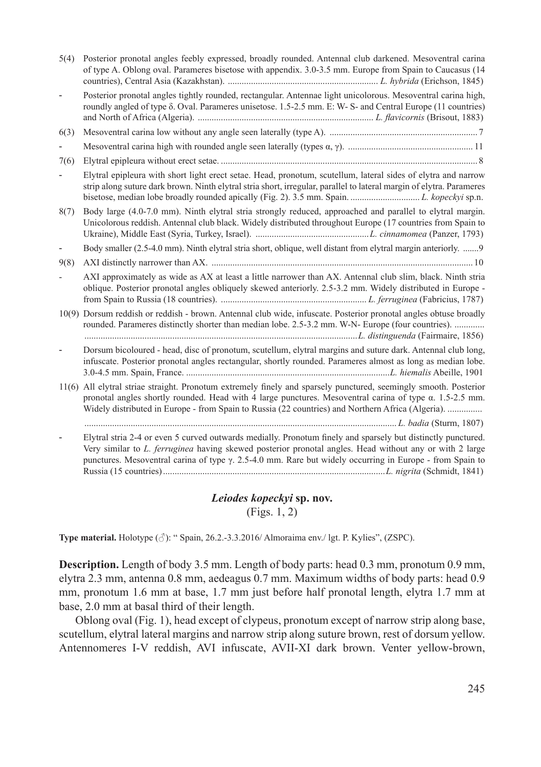| 5(4) | Posterior pronotal angles feebly expressed, broadly rounded. Antennal club darkened. Mesoventral carina<br>of type A. Oblong oval. Parameres bisetose with appendix. 3.0-3.5 mm. Europe from Spain to Caucasus (14                                                                                                                          |
|------|---------------------------------------------------------------------------------------------------------------------------------------------------------------------------------------------------------------------------------------------------------------------------------------------------------------------------------------------|
|      | Posterior pronotal angles tightly rounded, rectangular. Antennae light unicolorous. Mesoventral carina high,<br>roundly angled of type $\delta$ . Oval. Parameres unisetose. 1.5-2.5 mm. E: W- S- and Central Europe (11 countries)                                                                                                         |
| 6(3) |                                                                                                                                                                                                                                                                                                                                             |
|      |                                                                                                                                                                                                                                                                                                                                             |
| 7(6) |                                                                                                                                                                                                                                                                                                                                             |
|      | Elytral epipleura with short light erect setae. Head, pronotum, scutellum, lateral sides of elytra and narrow<br>strip along suture dark brown. Ninth elytral stria short, irregular, parallel to lateral margin of elytra. Parameres                                                                                                       |
| 8(7) | Body large (4.0-7.0 mm). Ninth elytral stria strongly reduced, approached and parallel to elytral margin.<br>Unicolorous reddish. Antennal club black. Widely distributed throughout Europe (17 countries from Spain to                                                                                                                     |
|      | Body smaller (2.5-4.0 mm). Ninth elytral stria short, oblique, well distant from elytral margin anteriorly. 9                                                                                                                                                                                                                               |
| 9(8) |                                                                                                                                                                                                                                                                                                                                             |
|      | AXI approximately as wide as AX at least a little narrower than AX. Antennal club slim, black. Ninth stria<br>oblique. Posterior pronotal angles obliquely skewed anteriorly. 2.5-3.2 mm. Widely distributed in Europe -                                                                                                                    |
|      | 10(9) Dorsum reddish or reddish - brown. Antennal club wide, infuscate. Posterior pronotal angles obtuse broadly<br>rounded. Parameres distinctly shorter than median lobe. 2.5-3.2 mm. W-N- Europe (four countries).<br>L. distinguenda (Fairmaire, 1856)                                                                                  |
|      | Dorsum bicoloured - head, disc of pronotum, scutellum, elytral margins and suture dark. Antennal club long,<br>infuscate. Posterior pronotal angles rectangular, shortly rounded. Parameres almost as long as median lobe.                                                                                                                  |
|      | 11(6) All elytral striae straight. Pronotum extremely finely and sparsely punctured, seemingly smooth. Posterior<br>pronotal angles shortly rounded. Head with 4 large punctures. Mesoventral carina of type $\alpha$ . 1.5-2.5 mm.<br>Widely distributed in Europe - from Spain to Russia (22 countries) and Northern Africa (Algeria).    |
|      |                                                                                                                                                                                                                                                                                                                                             |
|      | Elytral stria 2-4 or even 5 curved outwards medially. Pronotum finely and sparsely but distinctly punctured.<br>Very similar to L. ferruginea having skewed posterior pronotal angles. Head without any or with 2 large<br>punctures. Mesoventral carina of type $\gamma$ . 2.5-4.0 mm. Rare but widely occurring in Europe - from Spain to |

### *Leiodes kopeckyi* **sp. nov.** (Figs. 1, 2)

**Type material.** Holotype (♂): " Spain, 26.2.-3.3.2016/ Almoraima env./ lgt. P. Kylies", (ZSPC).

**Description.** Length of body 3.5 mm. Length of body parts: head 0.3 mm, pronotum 0.9 mm, elytra 2.3 mm, antenna 0.8 mm, aedeagus 0.7 mm. Maximum widths of body parts: head 0.9 mm, pronotum 1.6 mm at base, 1.7 mm just before half pronotal length, elytra 1.7 mm at base, 2.0 mm at basal third of their length.

Oblong oval (Fig. 1), head except of clypeus, pronotum except of narrow strip along base, scutellum, elytral lateral margins and narrow strip along suture brown, rest of dorsum yellow. Antennomeres I-V reddish, AVI infuscate, AVII-XI dark brown. Venter yellow-brown,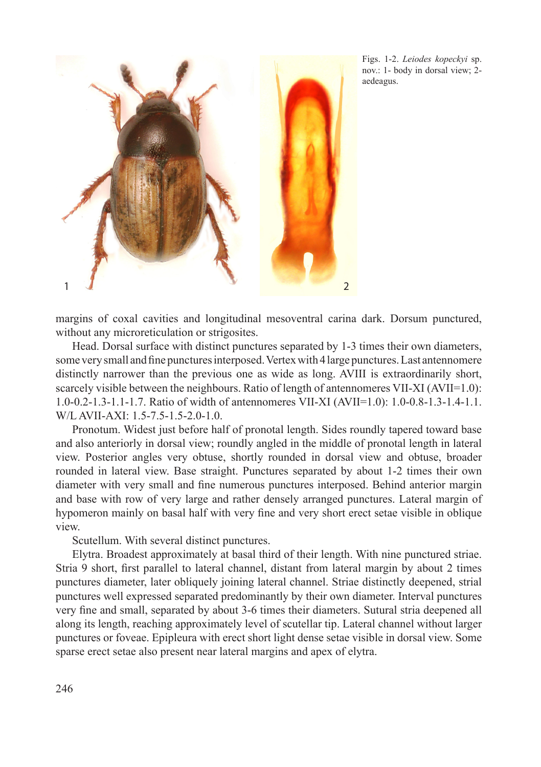

Figs. 1-2. *Leiodes kopeckyi* sp. nov.: 1- body in dorsal view; 2 aedeagus.

margins of coxal cavities and longitudinal mesoventral carina dark. Dorsum punctured, without any microreticulation or strigosites.

Head. Dorsal surface with distinct punctures separated by 1-3 times their own diameters, some very small and fine punctures interposed. Vertex with 4 large punctures. Last antennomere distinctly narrower than the previous one as wide as long. AVIII is extraordinarily short, scarcely visible between the neighbours. Ratio of length of antennomeres VII-XI (AVII=1.0): 1.0-0.2-1.3-1.1-1.7. Ratio of width of antennomeres VII-XI (AVII=1.0): 1.0-0.8-1.3-1.4-1.1. W/L AVII-AXI: 1.5-7.5-1.5-2.0-1.0.

Pronotum. Widest just before half of pronotal length. Sides roundly tapered toward base and also anteriorly in dorsal view; roundly angled in the middle of pronotal length in lateral view. Posterior angles very obtuse, shortly rounded in dorsal view and obtuse, broader rounded in lateral view. Base straight. Punctures separated by about 1-2 times their own diameter with very small and fine numerous punctures interposed. Behind anterior margin and base with row of very large and rather densely arranged punctures. Lateral margin of hypomeron mainly on basal half with very fine and very short erect setae visible in oblique view.

Scutellum. With several distinct punctures.

Elytra. Broadest approximately at basal third of their length. With nine punctured striae. Stria 9 short, first parallel to lateral channel, distant from lateral margin by about 2 times punctures diameter, later obliquely joining lateral channel. Striae distinctly deepened, strial punctures well expressed separated predominantly by their own diameter. Interval punctures very fine and small, separated by about 3-6 times their diameters. Sutural stria deepened all along its length, reaching approximately level of scutellar tip. Lateral channel without larger punctures or foveae. Epipleura with erect short light dense setae visible in dorsal view. Some sparse erect setae also present near lateral margins and apex of elytra.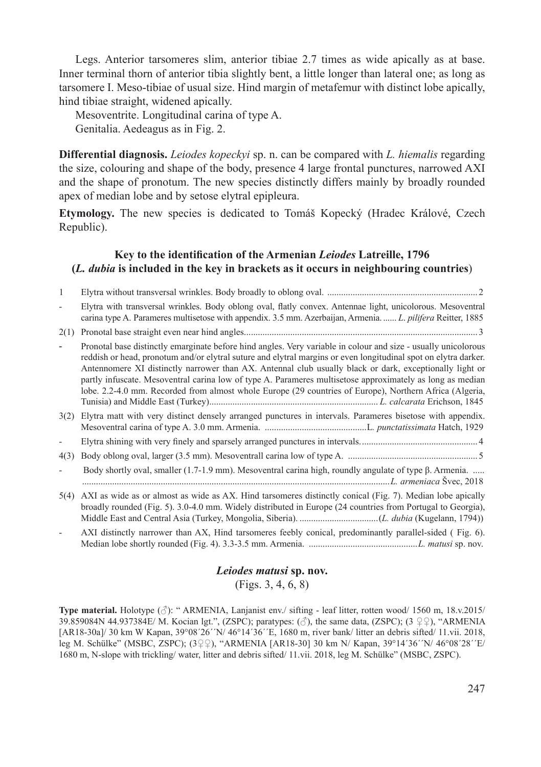Legs. Anterior tarsomeres slim, anterior tibiae 2.7 times as wide apically as at base. Inner terminal thorn of anterior tibia slightly bent, a little longer than lateral one; as long as tarsomere I. Meso-tibiae of usual size. Hind margin of metafemur with distinct lobe apically, hind tibiae straight, widened apically.

Mesoventrite. Longitudinal carina of type A. Genitalia. Aedeagus as in Fig. 2.

**Differential diagnosis.** *Leiodes kopeckyi* sp. n. can be compared with *L. hiemalis* regarding the size, colouring and shape of the body, presence 4 large frontal punctures, narrowed AXI and the shape of pronotum. The new species distinctly differs mainly by broadly rounded apex of median lobe and by setose elytral epipleura.

**Etymology.** The new species is dedicated to Tomáš Kopecký (Hradec Králové, Czech Republic).

## **Key to the identification of the Armenian** *Leiodes* **Latreille, 1796 (***L. dubia* **is included in the key in brackets as it occurs in neighbouring countries**)

| 1    |                                                                                                                                                                                                                                                                                                                                                                                                                                                                                                                                                                      |
|------|----------------------------------------------------------------------------------------------------------------------------------------------------------------------------------------------------------------------------------------------------------------------------------------------------------------------------------------------------------------------------------------------------------------------------------------------------------------------------------------------------------------------------------------------------------------------|
|      | Elytra with transversal wrinkles. Body oblong oval, flatly convex. Antennae light, unicolorous. Mesoventral<br>carina type A. Parameres multisetose with appendix. 3.5 mm. Azerbaijan, Armenia L. pilifera Reitter, 1885                                                                                                                                                                                                                                                                                                                                             |
| 2(1) |                                                                                                                                                                                                                                                                                                                                                                                                                                                                                                                                                                      |
|      | Pronotal base distinctly emarginate before hind angles. Very variable in colour and size - usually unicolorous<br>reddish or head, pronotum and/or elytral suture and elytral margins or even longitudinal spot on elytra darker.<br>Antennomere XI distinctly narrower than AX. Antennal club usually black or dark, exceptionally light or<br>partly infuscate. Mesoventral carina low of type A. Parameres multisetose approximately as long as median<br>lobe. 2.2-4.0 mm. Recorded from almost whole Europe (29 countries of Europe), Northern Africa (Algeria, |
| 3(2) | Elytra matt with very distinct densely arranged punctures in intervals. Parameres bisetose with appendix.                                                                                                                                                                                                                                                                                                                                                                                                                                                            |
|      |                                                                                                                                                                                                                                                                                                                                                                                                                                                                                                                                                                      |
| 4(3) |                                                                                                                                                                                                                                                                                                                                                                                                                                                                                                                                                                      |
|      | Body shortly oval, smaller $(1.7-1.9 \text{ mm})$ . Mesoventral carina high, roundly angulate of type $\beta$ . Armenia.                                                                                                                                                                                                                                                                                                                                                                                                                                             |
| 5(4) | AXI as wide as or almost as wide as AX. Hind tarsomeres distinctly conical (Fig. 7). Median lobe apically<br>broadly rounded (Fig. 5). 3.0-4.0 mm. Widely distributed in Europe (24 countries from Portugal to Georgia),                                                                                                                                                                                                                                                                                                                                             |

AXI distinctly narrower than AX, Hind tarsomeres feebly conical, predominantly parallel-sided (Fig. 6). Median lobe shortly rounded (Fig. 4). 3.3-3.5 mm. Armenia. ...............................................*L. matusi* sp. nov.

# *Leiodes matusi* **sp. nov.** (Figs. 3, 4, 6, 8)

**Type material.** Holotype (♂): " ARMENIA, Lanjanist env./ sifting - leaf litter, rotten wood/ 1560 m, 18.v.2015/ 39.859084N 44.937384E/ M. Kocian lgt.", (ZSPC); paratypes:  $(\text{3})$ , the same data, (ZSPC); (3 ♀♀), "ARMENIA [AR18-30a]/ 30 km W Kapan, 39°08´26´´N/ 46°14´36´´E, 1680 m, river bank/ litter an debris sifted/ 11.vii. 2018, leg M. Schülke" (MSBC, ZSPC); (3♀♀), "ARMENIA [AR18-30] 30 km N/ Kapan, 39°14´36´´N/ 46°08´28´´E/ 1680 m, N-slope with trickling/ water, litter and debris sifted/ 11.vii. 2018, leg M. Schülke" (MSBC, ZSPC).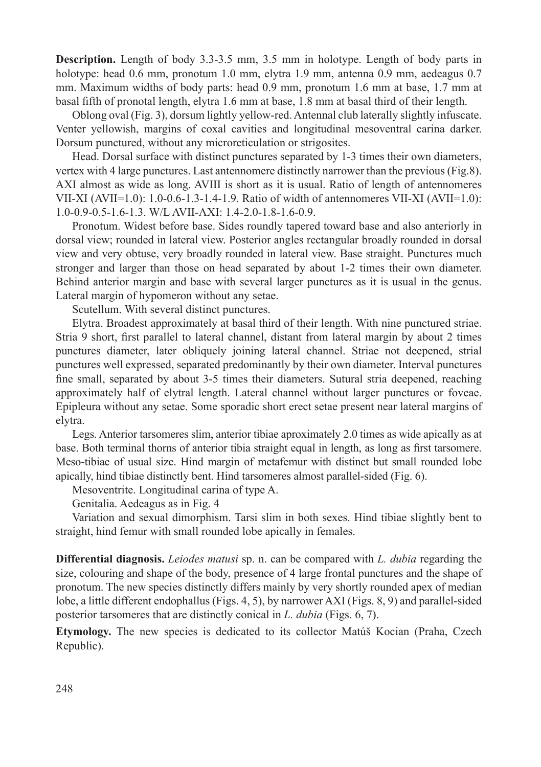**Description.** Length of body 3.3-3.5 mm, 3.5 mm in holotype. Length of body parts in holotype: head 0.6 mm, pronotum 1.0 mm, elytra 1.9 mm, antenna 0.9 mm, aedeagus 0.7 mm. Maximum widths of body parts: head 0.9 mm, pronotum 1.6 mm at base, 1.7 mm at basal fifth of pronotal length, elytra 1.6 mm at base, 1.8 mm at basal third of their length.

Oblong oval (Fig. 3), dorsum lightly yellow-red. Antennal club laterally slightly infuscate. Venter yellowish, margins of coxal cavities and longitudinal mesoventral carina darker. Dorsum punctured, without any microreticulation or strigosites.

Head. Dorsal surface with distinct punctures separated by 1-3 times their own diameters, vertex with 4 large punctures. Last antennomere distinctly narrower than the previous (Fig.8). AXI almost as wide as long. AVIII is short as it is usual. Ratio of length of antennomeres VII-XI  $(AVII=1.0)$ : 1.0-0.6-1.3-1.4-1.9. Ratio of width of antennomeres VII-XI  $(AVII=1.0)$ : 1.0-0.9-0.5-1.6-1.3. W/L AVII-AXI: 1.4-2.0-1.8-1.6-0.9.

Pronotum. Widest before base. Sides roundly tapered toward base and also anteriorly in dorsal view; rounded in lateral view. Posterior angles rectangular broadly rounded in dorsal view and very obtuse, very broadly rounded in lateral view. Base straight. Punctures much stronger and larger than those on head separated by about 1-2 times their own diameter. Behind anterior margin and base with several larger punctures as it is usual in the genus. Lateral margin of hypomeron without any setae.

Scutellum. With several distinct punctures.

Elytra. Broadest approximately at basal third of their length. With nine punctured striae. Stria 9 short, first parallel to lateral channel, distant from lateral margin by about 2 times punctures diameter, later obliquely joining lateral channel. Striae not deepened, strial punctures well expressed, separated predominantly by their own diameter. Interval punctures fine small, separated by about 3-5 times their diameters. Sutural stria deepened, reaching approximately half of elytral length. Lateral channel without larger punctures or foveae. Epipleura without any setae. Some sporadic short erect setae present near lateral margins of elytra.

Legs. Anterior tarsomeres slim, anterior tibiae aproximately 2.0 times as wide apically as at base. Both terminal thorns of anterior tibia straight equal in length, as long as first tarsomere. Meso-tibiae of usual size. Hind margin of metafemur with distinct but small rounded lobe apically, hind tibiae distinctly bent. Hind tarsomeres almost parallel-sided (Fig. 6).

Mesoventrite. Longitudinal carina of type A.

Genitalia. Aedeagus as in Fig. 4

Variation and sexual dimorphism. Tarsi slim in both sexes. Hind tibiae slightly bent to straight, hind femur with small rounded lobe apically in females.

**Differential diagnosis.** *Leiodes matusi* sp. n. can be compared with *L. dubia* regarding the size, colouring and shape of the body, presence of 4 large frontal punctures and the shape of pronotum. The new species distinctly differs mainly by very shortly rounded apex of median lobe, a little different endophallus (Figs. 4, 5), by narrower AXI (Figs. 8, 9) and parallel-sided posterior tarsomeres that are distinctly conical in *L. dubia* (Figs. 6, 7).

**Etymology.** The new species is dedicated to its collector Matúš Kocian (Praha, Czech Republic).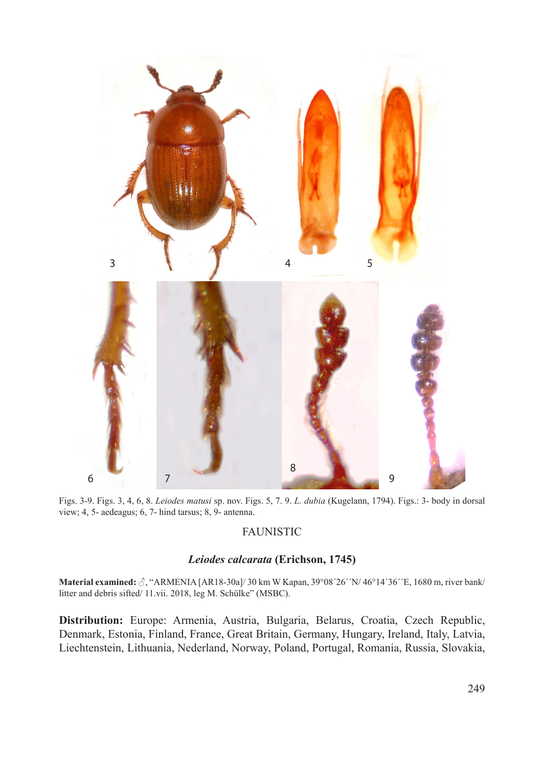

Figs. 3-9. Figs. 3, 4, 6, 8. *Leiodes matusi* sp. nov. Figs. 5, 7. 9. *L. dubia* (Kugelann, 1794). Figs.: 3- body in dorsal view; 4, 5- aedeagus; 6, 7- hind tarsus; 8, 9- antenna.

### FAUNISTIC

#### *Leiodes calcarata* **(Erichson, 1745)**

**Material examined:** ♂, "ARMENIA [AR18-30a]/ 30 km W Kapan, 39°08´26´´N/ 46°14´36´´E, 1680 m, river bank/ litter and debris sifted/ 11.vii. 2018, leg M. Schülke" (MSBC).

**Distribution:** Europe: Armenia, Austria, Bulgaria, Belarus, Croatia, Czech Republic, Denmark, Estonia, Finland, France, Great Britain, Germany, Hungary, Ireland, Italy, Latvia, Liechtenstein, Lithuania, Nederland, Norway, Poland, Portugal, Romania, Russia, Slovakia,